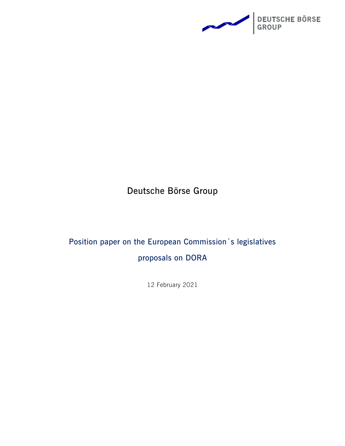

**Deutsche Börse Group**

# **Position paper on the European Commission´s legislatives proposals on DORA**

12 February 2021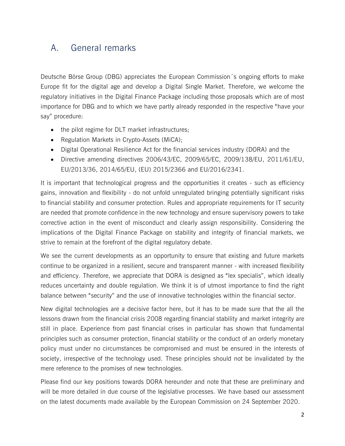## A. General remarks

Deutsche Börse Group (DBG) appreciates the European Commission´s ongoing efforts to make Europe fit for the digital age and develop a Digital Single Market. Therefore, we welcome the regulatory initiatives in the Digital Finance Package including those proposals which are of most importance for DBG and to which we have partly already responded in the respective "have your say" procedure:

- the pilot regime for DLT market infrastructures;
- Regulation Markets in Crypto-Assets (MiCA);
- Digital Operational Resilience Act for the financial services industry (DORA) and the
- Directive amending directives 2006/43/EC, 2009/65/EC, 2009/138/EU, 2011/61/EU, EU/2013/36, 2014/65/EU, (EU) 2015/2366 and EU/2016/2341.

It is important that technological progress and the opportunities it creates - such as efficiency gains, innovation and flexibility - do not unfold unregulated bringing potentially significant risks to financial stability and consumer protection. Rules and appropriate requirements for IT security are needed that promote confidence in the new technology and ensure supervisory powers to take corrective action in the event of misconduct and clearly assign responsibility. Considering the implications of the Digital Finance Package on stability and integrity of financial markets, we strive to remain at the forefront of the digital regulatory debate.

We see the current developments as an opportunity to ensure that existing and future markets continue to be organized in a resilient, secure and transparent manner - with increased flexibility and efficiency. Therefore, we appreciate that DORA is designed as "lex specialis", which ideally reduces uncertainty and double regulation. We think it is of utmost importance to find the right balance between "security" and the use of innovative technologies within the financial sector.

New digital technologies are a decisive factor here, but it has to be made sure that the all the lessons drawn from the financial crisis 2008 regarding financial stability and market integrity are still in place. Experience from past financial crises in particular has shown that fundamental principles such as consumer protection, financial stability or the conduct of an orderly monetary policy must under no circumstances be compromised and must be ensured in the interests of society, irrespective of the technology used. These principles should not be invalidated by the mere reference to the promises of new technologies.

Please find our key positions towards DORA hereunder and note that these are preliminary and will be more detailed in due course of the legislative processes. We have based our assessment on the latest documents made available by the European Commission on 24 September 2020.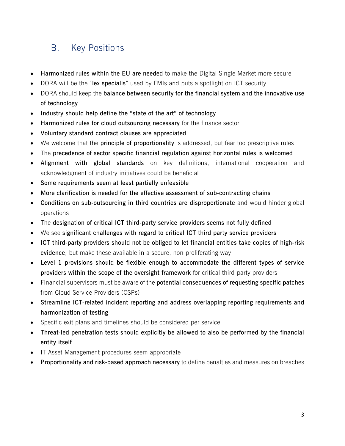# B. Key Positions

- **Harmonized rules within the EU are needed** to make the Digital Single Market more secure
- DORA will be the "**lex specialis**" used by FMIs and puts a spotlight on ICT security
- DORA should keep the **balance between security for the financial system and the innovative use of technology**
- **Industry should help define the "state of the art" of technology**
- **Harmonized rules for cloud outsourcing necessary** for the finance sector
- **Voluntary standard contract clauses are appreciated**
- We welcome that the **principle of proportionality** is addressed, but fear too prescriptive rules
- The **precedence of sector specific financial regulation against horizontal rules is welcomed**
- **Alignment with global standards** on key definitions, international cooperation and acknowledgment of industry initiatives could be beneficial
- **Some requirements seem at least partially unfeasible**
- **More clarification is needed for the effective assessment of sub-contracting chains**
- **Conditions on sub-outsourcing in third countries are disproportionate** and would hinder global operations
- The **designation of critical ICT third-party service providers seems not fully defined**
- We see **significant challenges with regard to critical ICT third party service providers**
- **ICT third-party providers should not be obliged to let financial entities take copies of high-risk evidence**, but make these available in a secure, non-proliferating way
- **Level 1 provisions should be flexible enough to accommodate the different types of service providers within the scope of the oversight framework** for critical third-party providers
- Financial supervisors must be aware of the **potential consequences of requesting specific patches** from Cloud Service Providers (CSPs)
- **Streamline ICT-related incident reporting and address overlapping reporting requirements and harmonization of testing**
- Specific exit plans and timelines should be considered per service
- **Threat-led penetration tests should explicitly be allowed to also be performed by the financial entity itself**
- IT Asset Management procedures seem appropriate
- **Proportionality and risk-based approach necessary** to define penalties and measures on breaches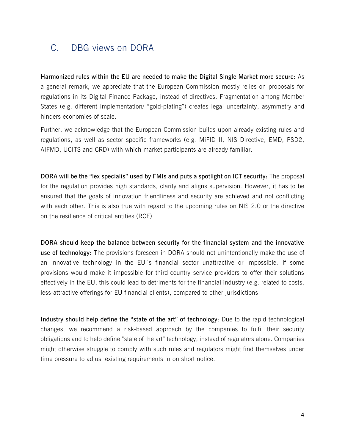## C. DBG views on DORA

**Harmonized rules within the EU are needed to make the Digital Single Market more secure:** As a general remark, we appreciate that the European Commission mostly relies on proposals for regulations in its Digital Finance Package, instead of directives. Fragmentation among Member States (e.g. different implementation/ "gold-plating") creates legal uncertainty, asymmetry and hinders economies of scale.

Further, we acknowledge that the European Commission builds upon already existing rules and regulations, as well as sector specific frameworks (e.g. MiFID II, NIS Directive, EMD, PSD2, AIFMD, UCITS and CRD) with which market participants are already familiar.

**DORA will be the "lex specialis" used by FMIs and puts a spotlight on ICT security:** The proposal for the regulation provides high standards, clarity and aligns supervision. However, it has to be ensured that the goals of innovation friendliness and security are achieved and not conflicting with each other. This is also true with regard to the upcoming rules on NIS 2.0 or the directive on the resilience of critical entities (RCE).

**DORA should keep the balance between security for the financial system and the innovative use of technology:** The provisions foreseen in DORA should not unintentionally make the use of an innovative technology in the EU´s financial sector unattractive or impossible. If some provisions would make it impossible for third-country service providers to offer their solutions effectively in the EU, this could lead to detriments for the financial industry (e.g. related to costs, less-attractive offerings for EU financial clients), compared to other jurisdictions.

**Industry should help define the "state of the art" of technology**: Due to the rapid technological changes, we recommend a risk-based approach by the companies to fulfil their security obligations and to help define "state of the art" technology, instead of regulators alone. Companies might otherwise struggle to comply with such rules and regulators might find themselves under time pressure to adjust existing requirements in on short notice.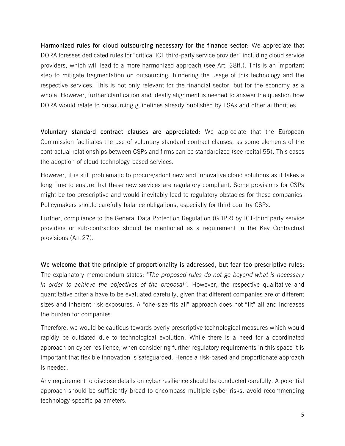**Harmonized rules for cloud outsourcing necessary for the finance sector**: We appreciate that DORA foresees dedicated rules for "critical ICT third-party service provider" including cloud service providers, which will lead to a more harmonized approach (see Art. 28ff.). This is an important step to mitigate fragmentation on outsourcing, hindering the usage of this technology and the respective services. This is not only relevant for the financial sector, but for the economy as a whole. However, further clarification and ideally alignment is needed to answer the question how DORA would relate to outsourcing guidelines already published by ESAs and other authorities.

**Voluntary standard contract clauses are appreciated**: We appreciate that the European Commission facilitates the use of voluntary standard contract clauses, as some elements of the contractual relationships between CSPs and firms can be standardized (see recital 55). This eases the adoption of cloud technology-based services.

However, it is still problematic to procure/adopt new and innovative cloud solutions as it takes a long time to ensure that these new services are regulatory compliant. Some provisions for CSPs might be too prescriptive and would inevitably lead to regulatory obstacles for these companies. Policymakers should carefully balance obligations, especially for third country CSPs.

Further, compliance to the General Data Protection Regulation (GDPR) by ICT-third party service providers or sub-contractors should be mentioned as a requirement in the Key Contractual provisions (Art.27).

**We welcome that the principle of proportionality is addressed, but fear too prescriptive rules**: The explanatory memorandum states: "*The proposed rules do not go beyond what is necessary in order to achieve the objectives of the proposal*". However, the respective qualitative and quantitative criteria have to be evaluated carefully, given that different companies are of different sizes and inherent risk exposures. A "one-size fits all" approach does not "fit" all and increases the burden for companies.

Therefore, we would be cautious towards overly prescriptive technological measures which would rapidly be outdated due to technological evolution. While there is a need for a coordinated approach on cyber-resilience, when considering further regulatory requirements in this space it is important that flexible innovation is safeguarded. Hence a risk-based and proportionate approach is needed.

Any requirement to disclose details on cyber resilience should be conducted carefully. A potential approach should be sufficiently broad to encompass multiple cyber risks, avoid recommending technology-specific parameters.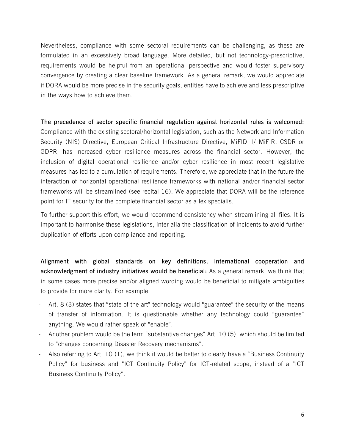Nevertheless, compliance with some sectoral requirements can be challenging, as these are formulated in an excessively broad language. More detailed, but not technology-prescriptive, requirements would be helpful from an operational perspective and would foster supervisory convergence by creating a clear baseline framework. As a general remark, we would appreciate if DORA would be more precise in the security goals, entities have to achieve and less prescriptive in the ways how to achieve them.

**The precedence of sector specific financial regulation against horizontal rules is welcomed:**  Compliance with the existing sectoral/horizontal legislation, such as the Network and Information Security (NIS) Directive, European Critical Infrastructure Directive, MiFID II/ MiFIR, CSDR or GDPR, has increased cyber resilience measures across the financial sector. However, the inclusion of digital operational resilience and/or cyber resilience in most recent legislative measures has led to a cumulation of requirements. Therefore, we appreciate that in the future the interaction of horizontal operational resilience frameworks with national and/or financial sector frameworks will be streamlined (see recital 16). We appreciate that DORA will be the reference point for IT security for the complete financial sector as a lex specialis.

To further support this effort, we would recommend consistency when streamlining all files. It is important to harmonise these legislations, inter alia the classification of incidents to avoid further duplication of efforts upon compliance and reporting.

**Alignment with global standards on key definitions, international cooperation and acknowledgment of industry initiatives would be beneficial:** As a general remark, we think that in some cases more precise and/or aligned wording would be beneficial to mitigate ambiguities to provide for more clarity. For example:

- Art. 8 (3) states that "state of the art" technology would "guarantee" the security of the means of transfer of information. It is questionable whether any technology could "guarantee" anything. We would rather speak of "enable".
- Another problem would be the term "substantive changes" Art. 10 (5), which should be limited to "changes concerning Disaster Recovery mechanisms".
- Also referring to Art. 10 (1), we think it would be better to clearly have a "Business Continuity" Policy" for business and "ICT Continuity Policy" for ICT-related scope, instead of a "ICT Business Continuity Policy".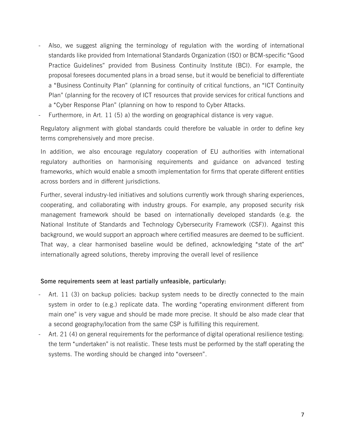- Also, we suggest aligning the terminology of regulation with the wording of international standards like provided from International Standards Organization (ISO) or BCM-specific "Good Practice Guidelines" provided from Business Continuity Institute (BCI). For example, the proposal foresees documented plans in a broad sense, but it would be beneficial to differentiate a "Business Continuity Plan" (planning for continuity of critical functions, an "ICT Continuity Plan" (planning for the recovery of ICT resources that provide services for critical functions and a "Cyber Response Plan" (planning on how to respond to Cyber Attacks.
- Furthermore, in Art. 11 (5) a) the wording on geographical distance is very vague.

Regulatory alignment with global standards could therefore be valuable in order to define key terms comprehensively and more precise.

In addition, we also encourage regulatory cooperation of EU authorities with international regulatory authorities on harmonising requirements and guidance on advanced testing frameworks, which would enable a smooth implementation for firms that operate different entities across borders and in different jurisdictions.

Further, several industry-led initiatives and solutions currently work through sharing experiences, cooperating, and collaborating with industry groups. For example, any proposed security risk management framework should be based on internationally developed standards (e.g. the National Institute of Standards and Technology Cybersecurity Framework (CSF)). Against this background, we would support an approach where certified measures are deemed to be sufficient. That way, a clear harmonised baseline would be defined, acknowledging "state of the art" internationally agreed solutions, thereby improving the overall level of resilience

#### **Some requirements seem at least partially unfeasible, particularly:**

- Art. 11 (3) on backup policies: backup system needs to be directly connected to the main system in order to (e.g.) replicate data. The wording "operating environment different from main one" is very vague and should be made more precise. It should be also made clear that a second geography/location from the same CSP is fulfilling this requirement.
- Art. 21 (4) on general requirements for the performance of digital operational resilience testing: the term "undertaken" is not realistic. These tests must be performed by the staff operating the systems. The wording should be changed into "overseen".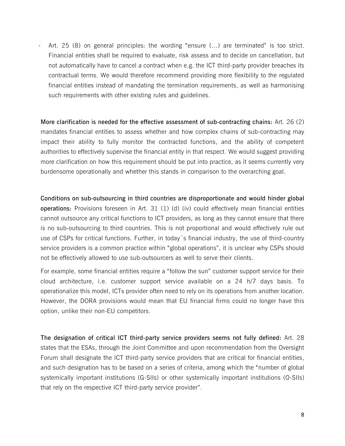- Art. 25 (8) on general principles: the wording "ensure (…) are terminated" is too strict. Financial entities shall be required to evaluate, risk assess and to decide on cancellation, but not automatically have to cancel a contract when e.g. the ICT third-party provider breaches its contractual terms. We would therefore recommend providing more flexibility to the regulated financial entities instead of mandating the termination requirements, as well as harmonising such requirements with other existing rules and guidelines.

**More clarification is needed for the effective assessment of sub-contracting chains:** Art. 26 (2) mandates financial entities to assess whether and how complex chains of sub-contracting may impact their ability to fully monitor the contracted functions, and the ability of competent authorities to effectively supervise the financial entity in that respect. We would suggest providing more clarification on how this requirement should be put into practice, as it seems currently very burdensome operationally and whether this stands in comparison to the overarching goal.

**Conditions on sub-outsourcing in third countries are disproportionate and would hinder global operations:** Provisions foreseen in Art. 31 (1) (d) (iv) could effectively mean financial entities cannot outsource any critical functions to ICT providers, as long as they cannot ensure that there is no sub-outsourcing to third countries. This is not proportional and would effectively rule out use of CSPs for critical functions. Further, in today´s financial industry, the use of third-country service providers is a common practice within "global operations", it is unclear why CSPs should not be effectively allowed to use sub-outsourcers as well to serve their clients.

For example, some financial entities require a "follow the sun" customer support service for their cloud architecture, i.e. customer support service available on a 24 h/7 days basis. To operationalize this model, ICTs provider often need to rely on its operations from another location. However, the DORA provisions would mean that EU financial firms could no longer have this option, unlike their non-EU competitors.

**The designation of critical ICT third-party service providers seems not fully defined:** Art. 28 states that the ESAs, through the Joint Committee and upon recommendation from the Oversight Forum shall designate the ICT third-party service providers that are critical for financial entities, and such designation has to be based on a series of criteria, among which the "number of global systemically important institutions (G-SIIs) or other systemically important institutions (O-SIIs) that rely on the respective ICT third-party service provider".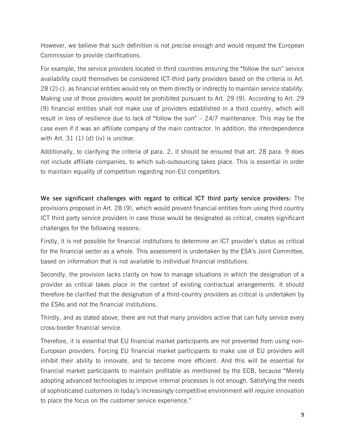However, we believe that such definition is not precise enough and would request the European Commission to provide clarifications.

For example, the service providers located in third countries ensuring the "follow the sun" service availability could themselves be considered ICT-third party providers based on the criteria in Art. 28 (2) c), as financial entities would rely on them directly or indirectly to maintain service stability. Making use of those providers would be prohibited pursuant to Art. 29 (9). According to Art. 29 (9) financial entities shall not make use of providers established in a third country, which will result in loss of resilience due to lack of "follow the sun" – 24/7 maintenance. This may be the case even if it was an affiliate company of the main contractor. In addition, the interdependence with Art.  $31(1)(d)(iv)$  is unclear.

Additionally, to clarifying the criteria of para. 2, it should be ensured that art. 28 para. 9 does not include affiliate companies, to which sub-outsourcing takes place. This is essential in order to maintain equality of competition regarding non-EU competitors.

**We see significant challenges with regard to critical ICT third party service providers:** The provisions proposed in Art. 28 (9), which would prevent financial entities from using third country ICT third party service providers in case those would be designated as critical, creates significant challenges for the following reasons:

Firstly, it is not possible for financial institutions to determine an ICT provider's status as critical for the financial sector as a whole. This assessment is undertaken by the ESA's Joint Committee, based on information that is not available to individual financial institutions.

Secondly, the provision lacks clarity on how to manage situations in which the designation of a provider as critical takes place in the context of existing contractual arrangements. It should therefore be clarified that the designation of a third-country providers as critical is undertaken by the ESAs and not the financial institutions.

Thirdly, and as stated above, there are not that many providers active that can fully service every cross-border financial service.

Therefore, it is essential that EU financial market participants are not prevented from using non-European providers. Forcing EU financial market participants to make use of EU providers will inhibit their ability to innovate, and to become more efficient. And this will be essential for financial market participants to maintain profitable as mentioned by the ECB, because "Merely adopting advanced technologies to improve internal processes is not enough. Satisfying the needs of sophisticated customers in today's increasingly competitive environment will require innovation to place the focus on the customer service experience."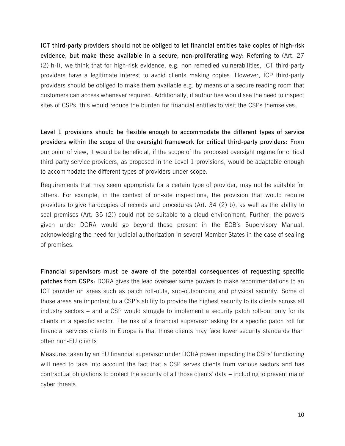**ICT third-party providers should not be obliged to let financial entities take copies of high-risk evidence, but make these available in a secure, non-proliferating way:** Referring to (Art. 27 (2) h-i), we think that for high-risk evidence, e.g. non remedied vulnerabilities, ICT third-party providers have a legitimate interest to avoid clients making copies. However, ICP third-party providers should be obliged to make them available e.g. by means of a secure reading room that customers can access whenever required. Additionally, if authorities would see the need to inspect sites of CSPs, this would reduce the burden for financial entities to visit the CSPs themselves.

**Level 1 provisions should be flexible enough to accommodate the different types of service providers within the scope of the oversight framework for critical third-party providers:** From our point of view, it would be beneficial, if the scope of the proposed oversight regime for critical third-party service providers, as proposed in the Level 1 provisions, would be adaptable enough to accommodate the different types of providers under scope.

Requirements that may seem appropriate for a certain type of provider, may not be suitable for others. For example, in the context of on-site inspections, the provision that would require providers to give hardcopies of records and procedures (Art. 34 (2) b), as well as the ability to seal premises (Art. 35 (2)) could not be suitable to a cloud environment. Further, the powers given under DORA would go beyond those present in the ECB's Supervisory Manual, acknowledging the need for judicial authorization in several Member States in the case of sealing of premises.

**Financial supervisors must be aware of the potential consequences of requesting specific patches from CSPs:** DORA gives the lead overseer some powers to make recommendations to an ICT provider on areas such as patch roll-outs, sub-outsourcing and physical security. Some of those areas are important to a CSP's ability to provide the highest security to its clients across all industry sectors – and a CSP would struggle to implement a security patch roll-out only for its clients in a specific sector. The risk of a financial supervisor asking for a specific patch roll for financial services clients in Europe is that those clients may face lower security standards than other non-EU clients

Measures taken by an EU financial supervisor under DORA power impacting the CSPs' functioning will need to take into account the fact that a CSP serves clients from various sectors and has contractual obligations to protect the security of all those clients' data – including to prevent major cyber threats.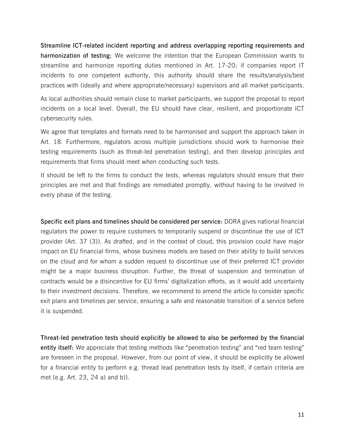**Streamline ICT-related incident reporting and address overlapping reporting requirements and harmonization of testing**: We welcome the intention that the European Commission wants to streamline and harmonize reporting duties mentioned in Art. 17-20: if companies report IT incidents to one competent authority, this authority should share the results/analysis/best practices with (ideally and where appropriate/necessary) supervisors and all market participants.

As local authorities should remain close to market participants, we support the proposal to report incidents on a local level. Overall, the EU should have clear, resilient, and proportionate ICT cybersecurity rules.

We agree that templates and formats need to be harmonised and support the approach taken in Art. 18. Furthermore, regulators across multiple jurisdictions should work to harmonise their testing requirements (such as threat-led penetration testing), and then develop principles and requirements that firms should meet when conducting such tests.

It should be left to the firms to conduct the tests, whereas regulators should ensure that their principles are met and that findings are remediated promptly, without having to be involved in every phase of the testing.

**Specific exit plans and timelines should be considered per service:** DORA gives national financial regulators the power to require customers to temporarily suspend or discontinue the use of ICT provider (Art. 37 (3)). As drafted, and in the context of cloud, this provision could have major impact on EU financial firms, whose business models are based on their ability to build services on the cloud and for whom a sudden request to discontinue use of their preferred ICT provider might be a major business disruption. Further, the threat of suspension and termination of contracts would be a disincentive for EU firms' digitalization efforts, as it would add uncertainty to their investment decisions. Therefore, we recommend to amend the article to consider specific exit plans and timelines per service, ensuring a safe and reasonable transition of a service before it is suspended.

**Threat-led penetration tests should explicitly be allowed to also be performed by the financial entity itself:** We appreciate that testing methods like "penetration testing" and "red team testing" are foreseen in the proposal. However, from our point of view, it should be explicitly be allowed for a financial entity to perform e.g. thread lead penetration tests by itself, if certain criteria are met (e.g. Art. 23, 24 a) and b)).